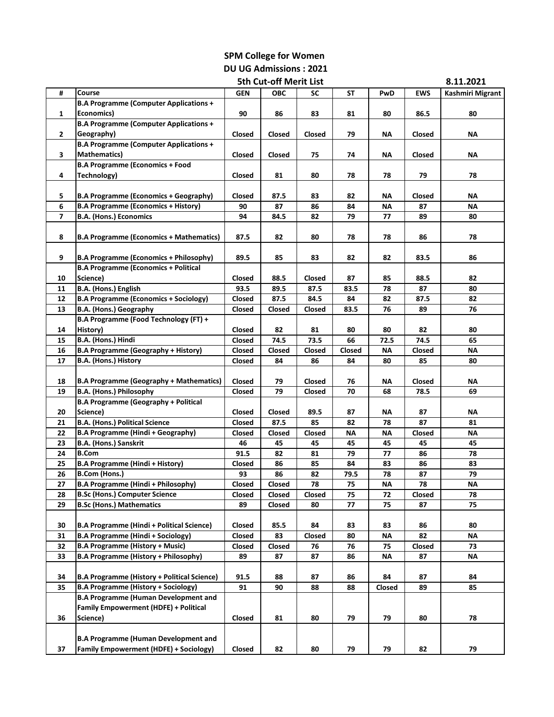## **SPM College for Women DU UG Admissions : 2021**

|    |                                                    | <b>5th Cut-off Merit List</b> |            |                 |        |           |                 | 8.11.2021        |
|----|----------------------------------------------------|-------------------------------|------------|-----------------|--------|-----------|-----------------|------------------|
| #  | Course                                             | <b>GEN</b>                    | <b>OBC</b> | SC              | SΤ     | PwD       | <b>EWS</b>      | Kashmiri Migrant |
|    | <b>B.A Programme (Computer Applications +</b>      |                               |            |                 |        |           |                 |                  |
| 1  | Economics)                                         | 90                            | 86         | 83              | 81     | 80        | 86.5            | 80               |
|    | <b>B.A Programme (Computer Applications +</b>      |                               |            |                 |        |           |                 |                  |
| 2  | Geography)                                         | Closed                        | Closed     | Closed          | 79     | ΝA        | Closed          | ΝA               |
|    | <b>B.A Programme (Computer Applications +</b>      |                               |            |                 |        |           |                 |                  |
| 3  | <b>Mathematics)</b>                                | Closed                        | Closed     | 75              | 74     | ΝA        | Closed          | ΝA               |
|    | <b>B.A Programme (Economics + Food</b>             |                               |            |                 |        |           |                 |                  |
|    |                                                    |                               |            |                 |        |           | 79              |                  |
| 4  | Technology)                                        | Closed                        | 81         | 80              | 78     | 78        |                 | 78               |
|    |                                                    |                               |            |                 |        |           |                 |                  |
| 5  | <b>B.A Programme (Economics + Geography)</b>       | Closed                        | 87.5       | 83              | 82     | ΝA        | Closed          | ΝA               |
| 6  | <b>B.A Programme (Economics + History)</b>         | 90                            | 87         | 86              | 84     | ΝA        | 87              | ΝA               |
| 7  | <b>B.A. (Hons.) Economics</b>                      | 94                            | 84.5       | 82              | 79     | 77        | 89              | 80               |
|    |                                                    |                               |            |                 |        |           |                 |                  |
| 8  | <b>B.A Programme (Economics + Mathematics)</b>     | 87.5                          | 82         | 80              | 78     | 78        | 86              | 78               |
|    |                                                    |                               |            |                 |        |           |                 |                  |
| 9  | <b>B.A Programme (Economics + Philosophy)</b>      | 89.5                          | 85         | 83              | 82     | 82        | 83.5            | 86               |
|    | <b>B.A Programme (Economics + Political</b>        |                               |            |                 |        |           |                 |                  |
| 10 | Science)                                           | Closed                        | 88.5       | Closed          | 87     | 85        | 88.5            | 82               |
| 11 | B.A. (Hons.) English                               | 93.5                          | 89.5       | 87.5            | 83.5   | 78        | 87              | 80               |
| 12 | <b>B.A Programme (Economics + Sociology)</b>       | Closed                        | 87.5       | 84.5            | 84     | 82        | 87.5            | 82               |
| 13 | B.A. (Hons.) Geography                             | Closed                        | Closed     | Closed          | 83.5   | 76        | 89              | 76               |
|    | B.A Programme (Food Technology (FT) +              |                               |            |                 |        |           |                 |                  |
| 14 | History)                                           | Closed                        | 82         | 81              | 80     | 80        | 82              | 80               |
| 15 | B.A. (Hons.) Hindi                                 | Closed                        | 74.5       | 73.5            | 66     | 72.5      | 74.5            | 65               |
| 16 | <b>B.A Programme (Geography + History)</b>         | Closed                        | Closed     | Closed          | Closed | ΝA        | Closed          | ΝA               |
| 17 | B.A. (Hons.) History                               | Closed                        | 84         | 86              | 84     | 80        | 85              | 80               |
|    |                                                    |                               |            |                 |        |           |                 |                  |
| 18 | <b>B.A Programme (Geography + Mathematics)</b>     | Closed                        | 79         | Closed          | 76     | ΝA        | Closed          | ΝA               |
| 19 | B.A. (Hons.) Philosophy                            | <b>Closed</b>                 | 79         | Closed          | 70     | 68        | 78.5            | 69               |
|    | <b>B.A Programme (Geography + Political</b>        |                               |            |                 |        |           |                 |                  |
|    |                                                    |                               |            |                 |        |           |                 |                  |
| 20 | Science)                                           | Closed                        | Closed     | 89.5            | 87     | ΝA        | 87              | ΝA               |
| 21 | <b>B.A. (Hons.) Political Science</b>              | Closed                        | 87.5       | 85              | 82     | 78        | 87              | 81               |
| 22 | <b>B.A Programme (Hindi + Geography)</b>           | Closed                        | Closed     | Closed          | ΝA     | ΝA        | Closed          | ΝA               |
| 23 | <b>B.A. (Hons.) Sanskrit</b>                       | 46                            | 45         | 45              | 45     | 45        | 45              | 45               |
| 24 | <b>B.Com</b>                                       | 91.5                          | 82         | 81              | 79     | 77        | 86              | 78               |
| 25 | <b>B.A Programme (Hindi + History)</b>             | Closed                        | 86         | 85              | 84     | 83        | 86              | 83               |
| 26 | <b>B.Com (Hons.)</b>                               | 93                            | 86         | 82              | 79.5   | 78        | 87              | 79               |
| 27 | <b>B.A Programme (Hindi + Philosophy)</b>          | Closed                        | Closed     | $\overline{78}$ | 75     | $\sf NA$  | $\overline{78}$ | <b>NA</b>        |
| 28 | <b>B.Sc (Hons.) Computer Science</b>               | Closed                        | Closed     | Closed          | 75     | 72        | Closed          | 78               |
| 29 | <b>B.Sc (Hons.) Mathematics</b>                    | 89                            | Closed     | 80              | 77     | 75        | 87              | 75               |
|    |                                                    |                               |            |                 |        |           |                 |                  |
| 30 | <b>B.A Programme (Hindi + Political Science)</b>   | Closed                        | 85.5       | 84              | 83     | 83        | 86              | 80               |
| 31 | <b>B.A Programme (Hindi + Sociology)</b>           | <b>Closed</b>                 | 83         | Closed          | 80     | <b>NA</b> | 82              | ΝA               |
| 32 | <b>B.A Programme (History + Music)</b>             | <b>Closed</b>                 | Closed     | 76              | 76     | 75        | Closed          | 73               |
| 33 | <b>B.A Programme (History + Philosophy)</b>        | 89                            | 87         | 87              | 86     | <b>NA</b> | 87              | ΝA               |
|    |                                                    |                               |            |                 |        |           |                 |                  |
| 34 | <b>B.A Programme (History + Political Science)</b> | 91.5                          | 88         | 87              | 86     | 84        | 87              | 84               |
| 35 | <b>B.A Programme (History + Sociology)</b>         | 91                            | 90         | 88              | 88     | Closed    | 89              | 85               |
|    | <b>B.A Programme (Human Development and</b>        |                               |            |                 |        |           |                 |                  |
|    | <b>Family Empowerment (HDFE) + Political</b>       |                               |            |                 |        |           |                 |                  |
| 36 | Science)                                           | Closed                        | 81         | 80              | 79     | 79        | 80              | 78               |
|    |                                                    |                               |            |                 |        |           |                 |                  |
|    | <b>B.A Programme (Human Development and</b>        |                               |            |                 |        |           |                 |                  |
|    | <b>Family Empowerment (HDFE) + Sociology)</b>      |                               |            |                 |        |           |                 |                  |
| 37 |                                                    | <b>Closed</b>                 | 82         | 80              | 79     | 79        | 82              | 79               |